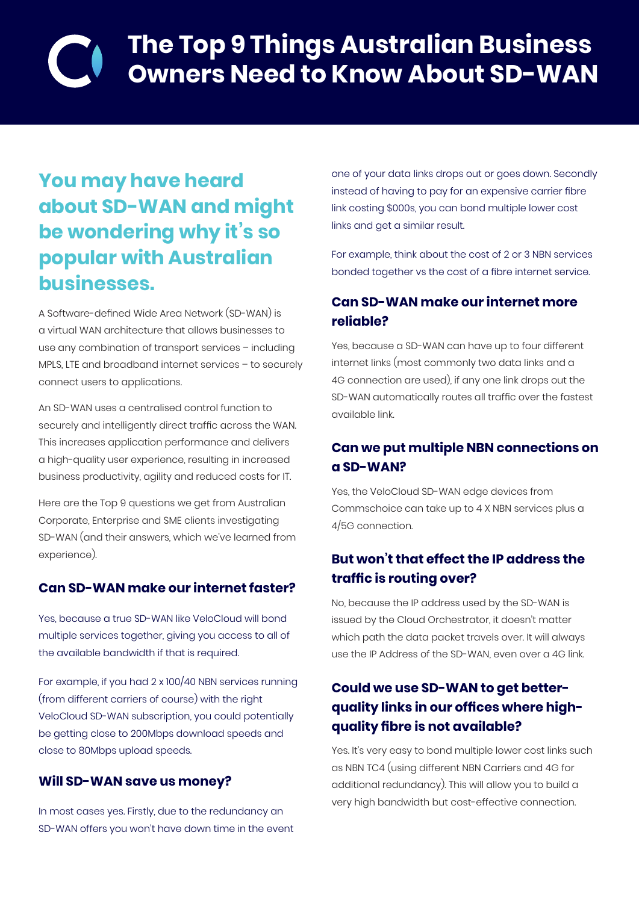# **The Top 9 Things Australian Business Owners Need to Know About SD-WAN**

## **You may have heard about SD-WAN and might be wondering why it's so popular with Australian businesses.**

A Software-defined Wide Area Network (SD-WAN) is a virtual WAN architecture that allows businesses to use any combination of transport services – including MPLS, LTE and broadband internet services – to securely connect users to applications.

An SD-WAN uses a centralised control function to securely and intelligently direct traffic across the WAN. This increases application performance and delivers a high-quality user experience, resulting in increased business productivity, agility and reduced costs for IT.

Here are the Top 9 questions we get from Australian Corporate, Enterprise and SME clients investigating SD-WAN (and their answers, which we've learned from experience).

#### **Can SD-WAN make our internet faster?**

Yes, because a true SD-WAN like VeloCloud will bond multiple services together, giving you access to all of the available bandwidth if that is required.

For example, if you had 2 x 100/40 NBN services running (from different carriers of course) with the right VeloCloud SD-WAN subscription, you could potentially be getting close to 200Mbps download speeds and close to 80Mbps upload speeds.

#### **Will SD-WAN save us money?**

In most cases yes. Firstly, due to the redundancy an SD-WAN offers you won't have down time in the event

one of your data links drops out or goes down. Secondly instead of having to pay for an expensive carrier fibre link costing \$000s, you can bond multiple lower cost links and get a similar result.

For example, think about the cost of 2 or 3 NBN services bonded together vs the cost of a fibre internet service.

#### **Can SD-WAN make our internet more reliable?**

Yes, because a SD-WAN can have up to four different internet links (most commonly two data links and a 4G connection are used), if any one link drops out the SD-WAN automatically routes all traffic over the fastest available link.

#### **Can we put multiple NBN connections on a SD-WAN?**

Yes, the VeloCloud SD-WAN edge devices from Commschoice can take up to 4 X NBN services plus a 4/5G connection.

#### **But won't that effect the IP address the traffic is routing over?**

No, because the IP address used by the SD-WAN is issued by the Cloud Orchestrator, it doesn't matter which path the data packet travels over. It will always use the IP Address of the SD-WAN, even over a 4G link.

### **Could we use SD-WAN to get betterquality links in our offices where highquality fibre is not available?**

Yes. It's very easy to bond multiple lower cost links such as NBN TC4 (using different NBN Carriers and 4G for additional redundancy). This will allow you to build a very high bandwidth but cost-effective connection.